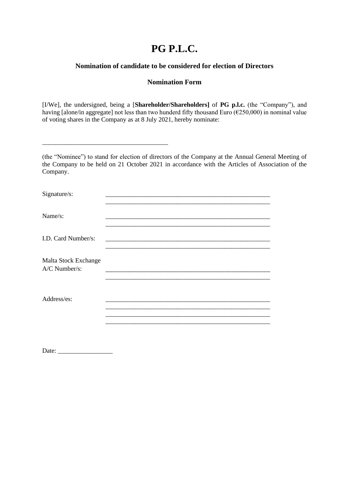## **PG P.L.C.**

## **Nomination of candidate to be considered for election of Directors**

## **Nomination Form**

[I/We], the undersigned, being a [**Shareholder/Shareholders]** of **PG p.l.c.** (the "Company"), and having [alone/in aggregate] not less than two hunderd fifty thousand Euro ( $\epsilon$ 250,000) in nominal value of voting shares in the Company as at 8 July 2021, hereby nominate:

(the "Nominee") to stand for election of directors of the Company at the Annual General Meeting of the Company to be held on 21 October 2021 in accordance with the Articles of Association of the Company.

| Signature/s:                          |  |
|---------------------------------------|--|
|                                       |  |
| Name/s:                               |  |
| I.D. Card Number/s:                   |  |
|                                       |  |
| Malta Stock Exchange<br>A/C Number/s: |  |
|                                       |  |
| Address/es:                           |  |
|                                       |  |
|                                       |  |
|                                       |  |
|                                       |  |

Date: \_\_\_\_\_\_\_\_\_\_\_\_\_\_\_\_\_

\_\_\_\_\_\_\_\_\_\_\_\_\_\_\_\_\_\_\_\_\_\_\_\_\_\_\_\_\_\_\_\_\_\_\_\_\_\_\_